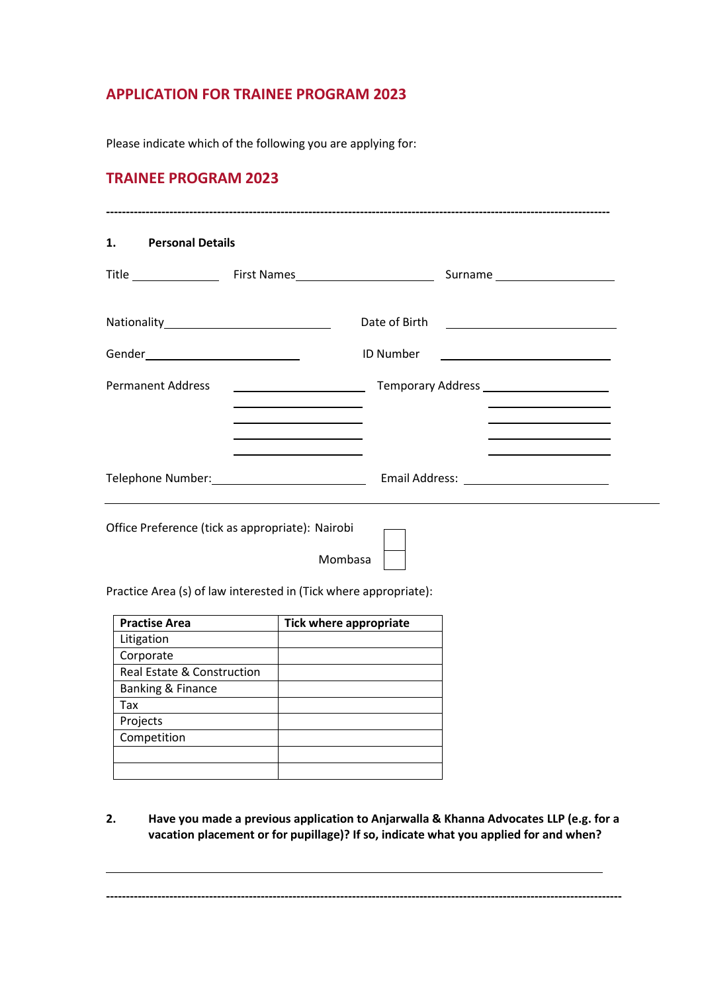# **APPLICATION FOR TRAINEE PROGRAM 2023**

Please indicate which of the following you are applying for:

# **TRAINEE PROGRAM 2023**

| 1. Personal Details                  |                                                                                                                                                                                                                                                                                                                                   |                                                                                                                                           |
|--------------------------------------|-----------------------------------------------------------------------------------------------------------------------------------------------------------------------------------------------------------------------------------------------------------------------------------------------------------------------------------|-------------------------------------------------------------------------------------------------------------------------------------------|
|                                      |                                                                                                                                                                                                                                                                                                                                   | Surname _____________________                                                                                                             |
|                                      |                                                                                                                                                                                                                                                                                                                                   |                                                                                                                                           |
| Gender______________________________ |                                                                                                                                                                                                                                                                                                                                   | <b>ID Number</b>                                                                                                                          |
| <b>Permanent Address</b>             | <u> Listen van die Stad van die Stad van die</u><br>the control of the control of the control of the control of the control of                                                                                                                                                                                                    | the control of the control of the control of the control of the control of                                                                |
|                                      | the control of the control of the control of the control of the control of the control of<br><u>and the state of the state of the state of the state of the state of the state of the state of the state of the state of the state of the state of the state of the state of the state of the state of the state of the state</u> | the control of the control of the control of the control of the control of<br>the control of the control of the control of the control of |
|                                      |                                                                                                                                                                                                                                                                                                                                   |                                                                                                                                           |

Office Preference (tick as appropriate): Nairobi

Mombasa

Practice Area (s) of law interested in (Tick where appropriate):

| <b>Practise Area</b>         | <b>Tick where appropriate</b> |
|------------------------------|-------------------------------|
| Litigation                   |                               |
| Corporate                    |                               |
| Real Estate & Construction   |                               |
| <b>Banking &amp; Finance</b> |                               |
| Tax                          |                               |
| Projects                     |                               |
| Competition                  |                               |
|                              |                               |
|                              |                               |

**2. Have you made a previous application to Anjarwalla & Khanna Advocates LLP (e.g. for a vacation placement or for pupillage)? If so, indicate what you applied for and when?**

**----------------------------------------------------------------------------------------------------------------------------------**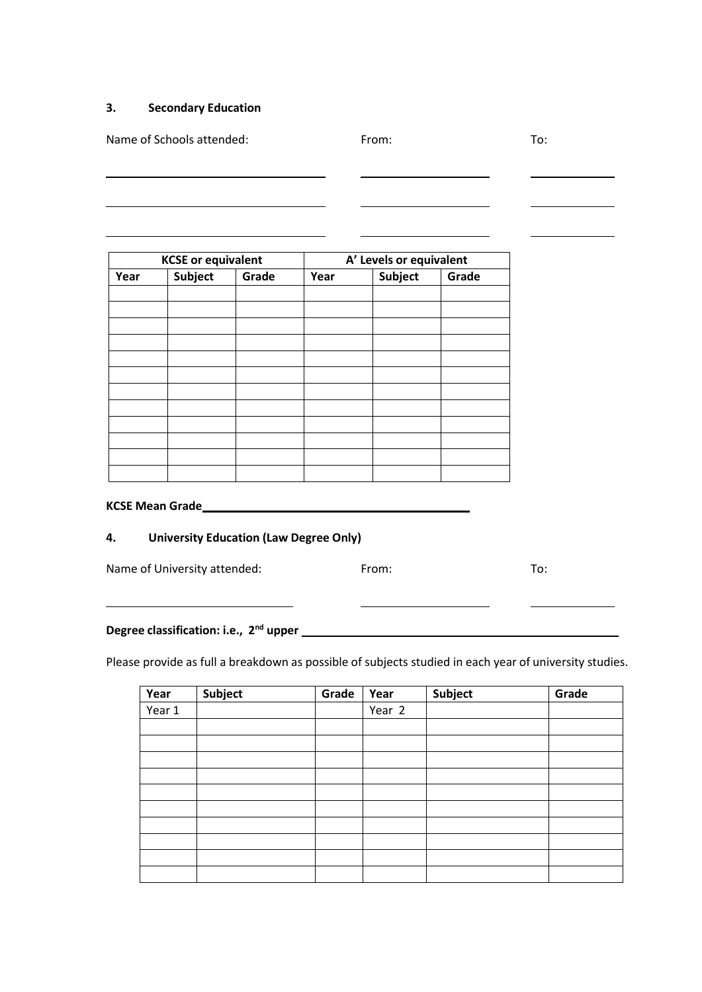#### **3. Secondary Education**

Name of Schools attended: To: The Schools attended: The Schools attended: The Schools attended: The Schools attended: The Schools attended: The Schools attended: The Schools attended: The Schools attended: The Schools atte

| <b>KCSE or equivalent</b> |                |       | A' Levels or equivalent |                |       |
|---------------------------|----------------|-------|-------------------------|----------------|-------|
| Year                      | <b>Subject</b> | Grade | Year                    | <b>Subject</b> | Grade |
|                           |                |       |                         |                |       |
|                           |                |       |                         |                |       |
|                           |                |       |                         |                |       |
|                           |                |       |                         |                |       |
|                           |                |       |                         |                |       |
|                           |                |       |                         |                |       |
|                           |                |       |                         |                |       |
|                           |                |       |                         |                |       |
|                           |                |       |                         |                |       |
|                           |                |       |                         |                |       |
|                           |                |       |                         |                |       |
|                           |                |       |                         |                |       |

### **KCSE Mean Grade**

## **4. University Education (Law Degree Only)**

<u> 1980 - Johann Barn, mars ann an t-Amhain Aonaich an t-Aonaich an t-Aonaich an t-Aonaich an t-Aonaich ann an t-</u>

Name of University attended: From: From: To:

**Degree classification: i.e., 2 nd upper**

Please provide as full a breakdown as possible of subjects studied in each year of university studies.

| Year   | Subject | Grade | Year   | Subject | Grade |
|--------|---------|-------|--------|---------|-------|
| Year 1 |         |       | Year 2 |         |       |
|        |         |       |        |         |       |
|        |         |       |        |         |       |
|        |         |       |        |         |       |
|        |         |       |        |         |       |
|        |         |       |        |         |       |
|        |         |       |        |         |       |
|        |         |       |        |         |       |
|        |         |       |        |         |       |
|        |         |       |        |         |       |
|        |         |       |        |         |       |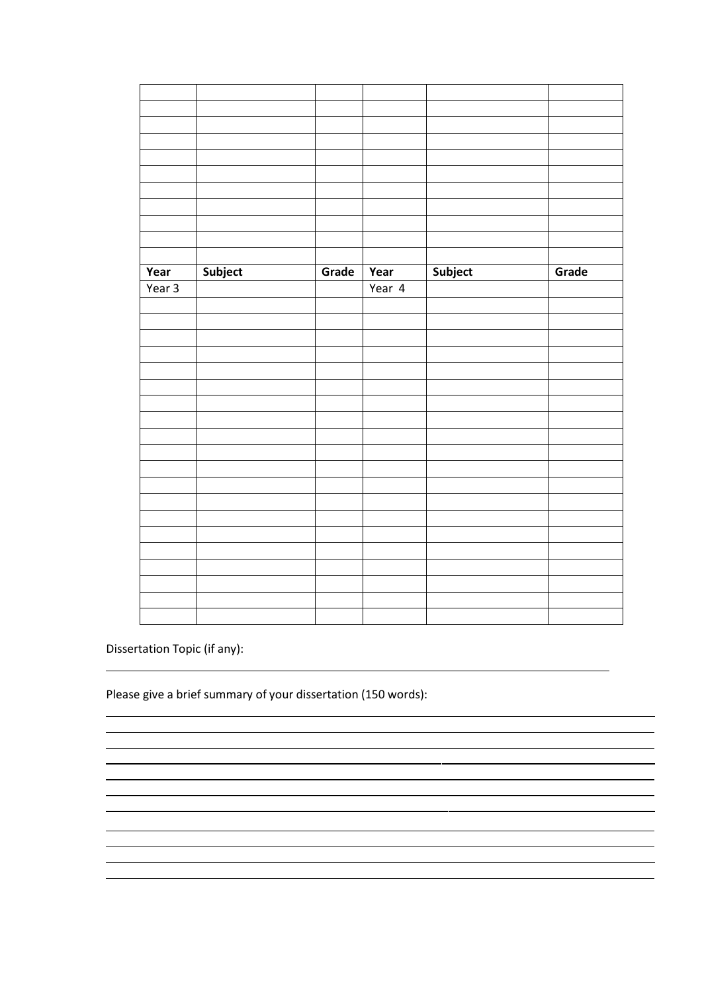| Subject<br>Subject<br>Year<br>Grade<br>Year | Grade |
|---------------------------------------------|-------|
| Year 3<br>Year 4                            |       |
|                                             |       |
|                                             |       |
|                                             |       |
|                                             |       |
|                                             |       |
|                                             |       |
|                                             |       |
|                                             |       |
|                                             |       |
|                                             |       |
|                                             |       |
|                                             |       |
|                                             |       |
|                                             |       |
|                                             |       |
|                                             |       |
|                                             |       |
|                                             |       |
|                                             |       |
|                                             |       |

 $\mathbb{R}^2$ 

Dissertation Topic (if any):

Please give a brief summary of your dissertation (150 words):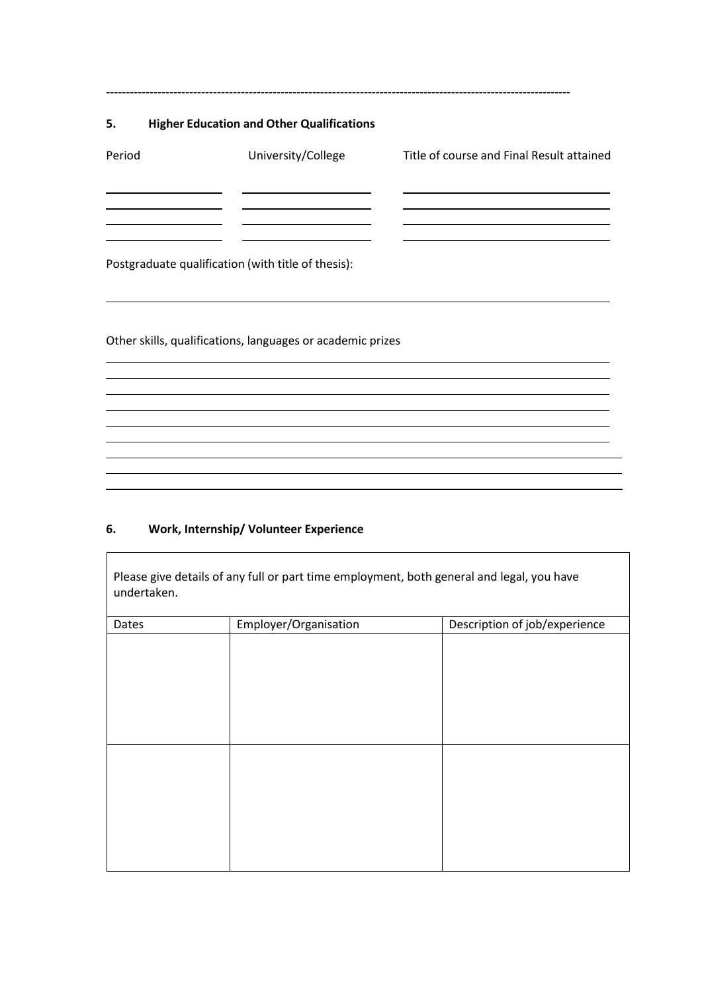## **5. Higher Education and Other Qualifications**

| Period | University/College                                 | Title of course and Final Result attained |
|--------|----------------------------------------------------|-------------------------------------------|
|        |                                                    |                                           |
|        | Postgraduate qualification (with title of thesis): |                                           |

**---------------------------------------------------------------------------------------------------------------------**

Other skills, qualifications, languages or academic prizes

## **6. Work, Internship/ Volunteer Experience**

Please give details of any full or part time employment, both general and legal, you have undertaken.

| Dates | Employer/Organisation | Description of job/experience |
|-------|-----------------------|-------------------------------|
|       |                       |                               |
|       |                       |                               |
|       |                       |                               |
|       |                       |                               |
|       |                       |                               |
|       |                       |                               |
|       |                       |                               |
|       |                       |                               |
|       |                       |                               |
|       |                       |                               |
|       |                       |                               |
|       |                       |                               |
|       |                       |                               |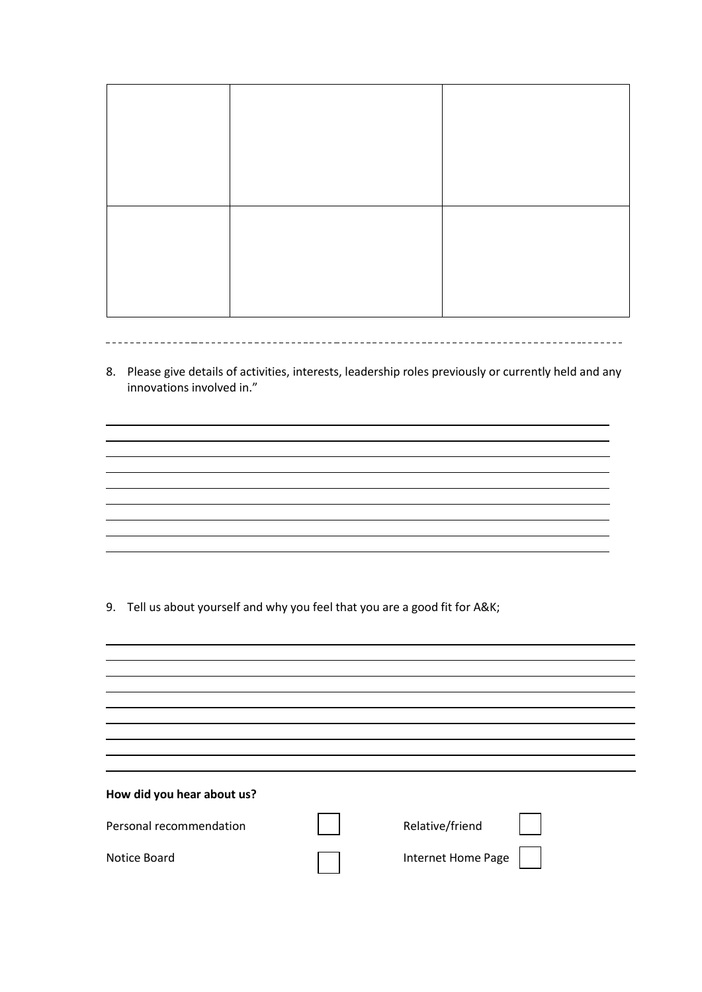8. Please give details of activities, interests, leadership roles previously or currently held and any innovations involved in."

and the control of the control of the control of the control of the control of the control of the control of the

<u> 1989 - Andrea Station Barbara, actor a component de la componentación de la componentación de la componentaci</u>

9. Tell us about yourself and why you feel that you are a good fit for A&K;

| How did you hear about us? |                    |  |
|----------------------------|--------------------|--|
| Personal recommendation    | Relative/friend    |  |
| Notice Board               | Internet Home Page |  |